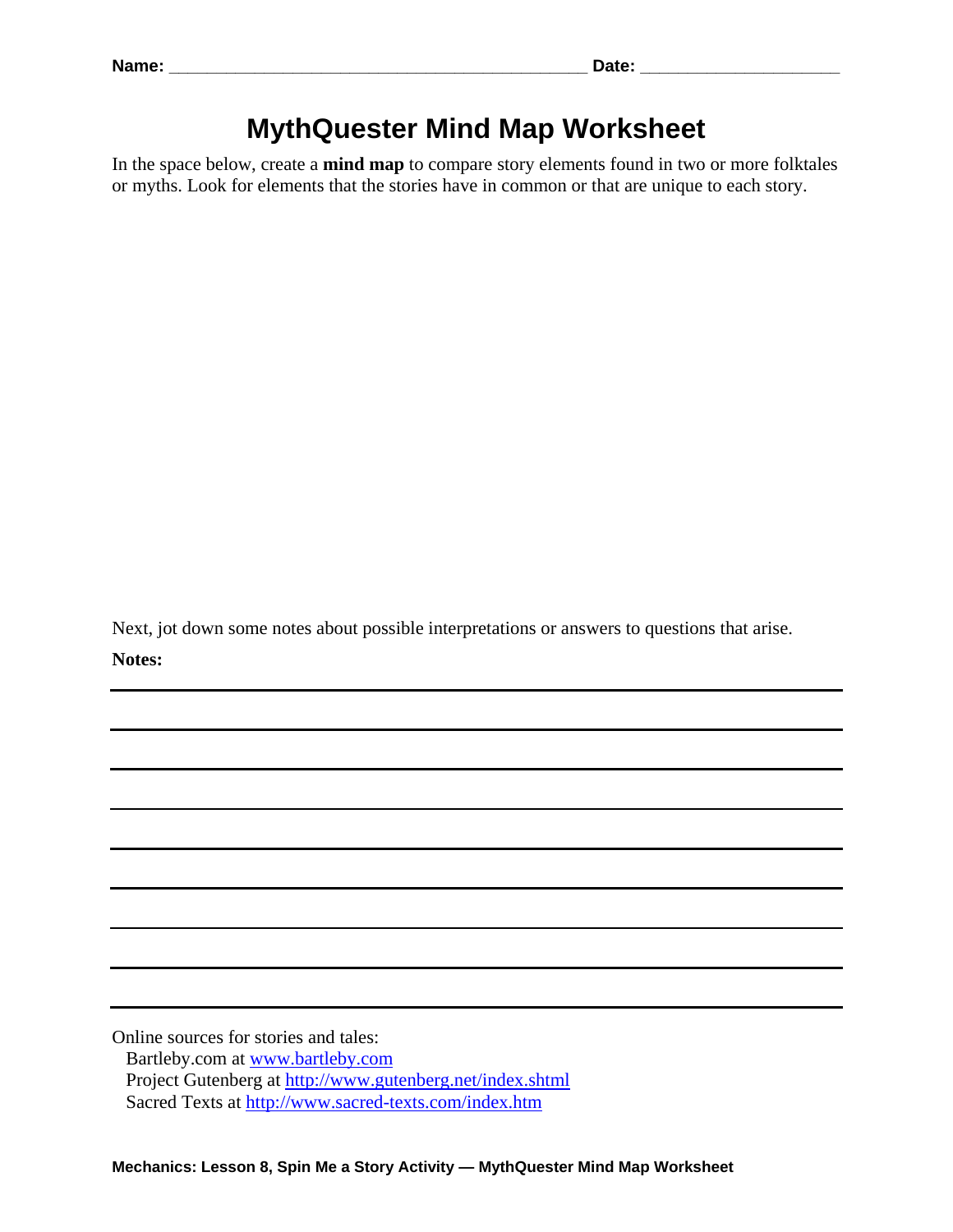## **MythQuester Mind Map Worksheet**

In the space below, create a **mind map** to compare story elements found in two or more folktales or myths. Look for elements that the stories have in common or that are unique to each story.

Next, jot down some notes about possible interpretations or answers to questions that arise. **Notes:** 

Online sources for stories and tales: Bartleby.com at www.bartleby.com Project Gutenberg at http://www.gutenberg.net/index.shtml Sacred Texts at http://www.sacred-texts.com/index.htm